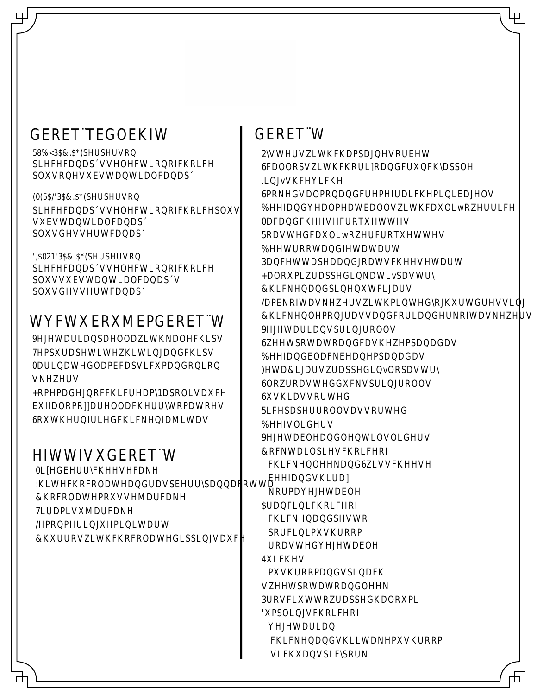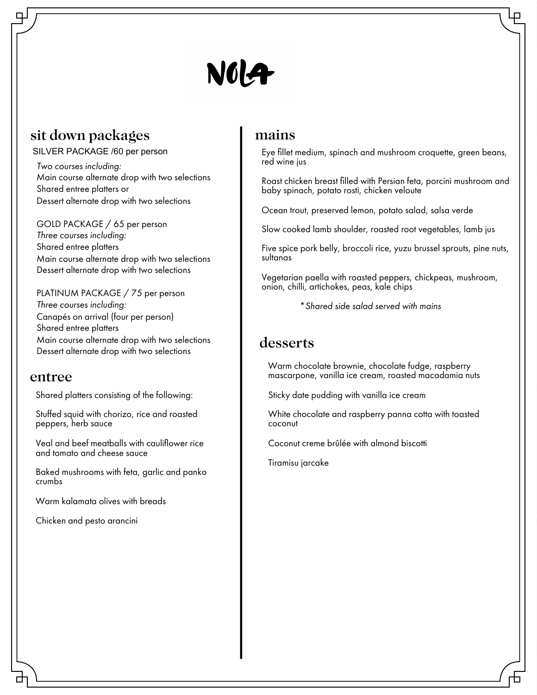

## sit down packages

SILVER PACKAGE /60 per person

6 piece canapés selection of choice *Two courses including:* Main course alternate drop with two selections Dessert alternate drop with two selections Shared entree platters or

GOLD PACKAGE / 65 per person **Three courses including:** Main course alternate drop with two selections Dessert alternate drop with two selections Shared entree platters

PLATINUM PACKAGE / 75 per person Canapés on arrival (four per person)<br>Shared entree platters Main course alternate drop with two selections Dessert alternate drop with two selections *Three courses including:* Shared entree platters

### entree

Shared platters consisting of the following:

buffalo mozzarella, cherry tomatoes Stuffed squid with chorizo, rice and roasted<br>peppers, herb squce peppers, herb sauce

and tomato and cheese sauce Veal and beef meatballs with cauliflower rice

Baked mushrooms with feta, garlic and panko Crumbs chocolate and raspberry pannacotta and raspberry pannacotta and raspberry pannacotta and raspberry pannacotta crumbs

Warm kalamata olives with breads

Chicken and pesto arancini

### mains

Eye fillet medium, spinach and mushroom croquette, green beans, red wine jus

Roast chicken breast filled with Persian feta, porcini mushroom and baby spinach, potato rosti, chicken veloute i

Ocean trout, preserved lemon, potato salad, salsa verde

 $\sim$ Slow cooked lamb shoulder, roasted root vegetables, lamb jus<br>.

Five spice pork belly, broccoli rice, yuzu brussel sprouts, pine nuts,  $\sum_{i=1}^n$ sultanas

Vegetarian paella with roasted peppers, chickpeas, mushroom, onion, chilli, artichokes, peas, kale chips

 $*$  Shared side salad served with mains

### desserts

vvarm cnocoiare prownie, cnocoiare ruage, raspperry<br>mascarpone, vanilla ice cream, roasted macadamia nuts Slow roasted duck spring rolls Warm chocolate brownie, chocolate fudge, raspberry

Sticky date pudding with vanilla ice cream

White chocolate and raspberry panna cotta with toasted coconut

Coconut creme brûlée with almond biscotti

Tiramisu jarcake